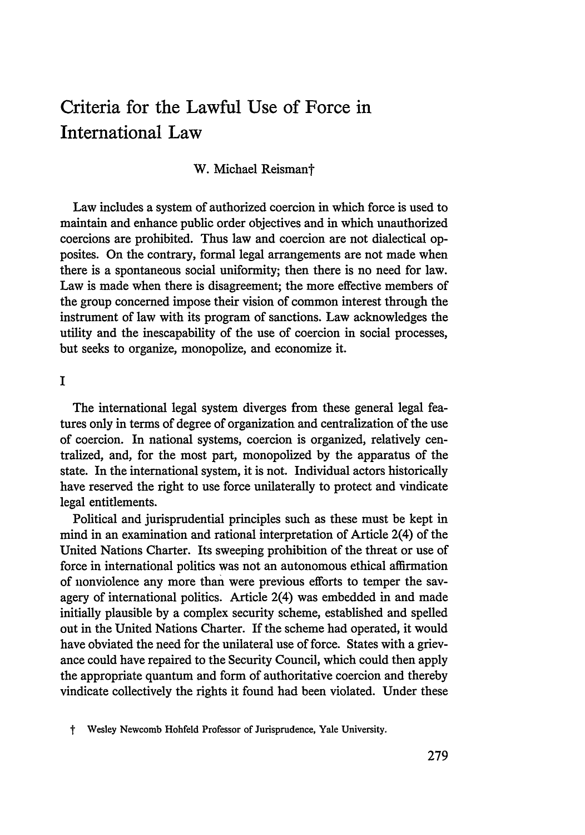# Criteria for the Lawful Use of Force in International Law

### W. Michael Reismant

Law includes a system of authorized coercion in which force is used to maintain and enhance public order objectives and in which unauthorized coercions are prohibited. Thus law and coercion are not dialectical opposites. On the contrary, formal legal arrangements are not made when there is a spontaneous social uniformity; then there is no need for law. Law is made when there is disagreement; the more effective members of the group concerned impose their vision of common interest through the instrument of law with its program of sanctions. Law acknowledges the utility and the inescapability of the use of coercion in social processes, but seeks to organize, monopolize, and economize it.

**I**

The international legal system diverges from these general legal features only in terms of degree of organization and centralization of the use of coercion. In national systems, coercion is organized, relatively centralized, and, for the most part, monopolized by the apparatus of the state. In the international system, it is not. Individual actors historically have reserved the right to use force unilaterally to protect and vindicate legal entitlements.

Political and jurisprudential principles such as these must be kept in mind in an examination and rational interpretation of Article 2(4) of the United Nations Charter. Its sweeping prohibition of the threat or use of force in international politics was not an autonomous ethical affirmation of nonviolence any more than were previous efforts to temper the savagery of international politics. Article 2(4) was embedded in and made initially plausible by a complex security scheme, established and spelled out in the United Nations Charter. If the scheme had operated, it would have obviated the need for the unilateral use of force. States with a grievance could have repaired to the Security Council, which could then apply the appropriate quantum and form of authoritative coercion and thereby vindicate collectively the rights it found had been violated. Under these

t Wesley Newcomb Hohfeld Professor of Jurisprudence, Yale University.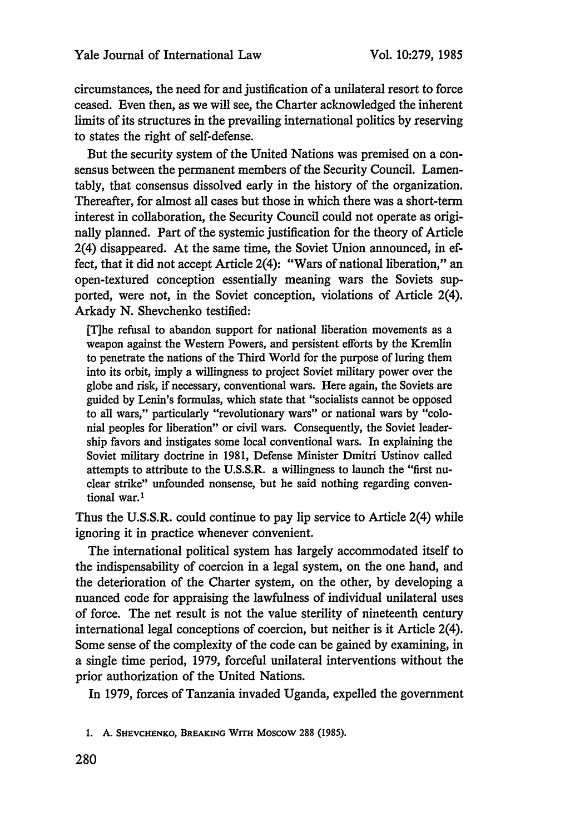circumstances, the need for and justification of a unilateral resort to force ceased. Even then, as we will see, the Charter acknowledged the inherent limits of its structures in the prevailing international politics by reserving to states the right of self-defense.

But the security system of the United Nations was premised on a consensus between the permanent members of the Security Council. Lamentably, that consensus dissolved early in the history of the organization. Thereafter, for almost all cases but those in which there was a short-term interest in collaboration, the Security Council could not operate as originally planned. Part of the systemic justification for the theory of Article 2(4) disappeared. At the same time, the Soviet Union announced, in effect, that it did not accept Article 2(4): "Wars of national liberation," an open-textured conception essentially meaning wars the Soviets supported, were not, in the Soviet conception, violations of Article 2(4). Arkady N. Shevehenko testified:

[T]he refusal to abandon support for national liberation movements as a weapon against the Western Powers, and persistent efforts **by** the Kremlin to penetrate the nations of the Third World for the purpose of luring them into its orbit, imply a willingness to project Soviet military power over the globe and risk, if necessary, conventional wars. Here again, the Soviets are guided by Lenin's formulas, which state that "socialists cannot be opposed to all wars," particularly "revolutionary wars" or national wars by "colonial peoples for liberation" or civil wars. Consequently, the Soviet leadership favors and instigates some local conventional wars. In explaining the Soviet military doctrine in 1981, Defense Minister Dmitri Ustinov called attempts to attribute to the U.S.S.R. a willingness to launch the "first nuclear strike" unfounded nonsense, but he said nothing regarding conventional war.<sup>1</sup>

Thus the U.S.S.R. could continue to pay **lip** service to Article 2(4) while ignoring it in practice whenever convenient.

The international political system has largely accommodated itself to the indispensability of coercion in a legal system, on the one hand, and the deterioration of the Charter system, on the other, by developing a nuanced code for appraising the lawfulness of individual unilateral uses of force. The net result is not the value sterility of nineteenth century international legal conceptions of coercion, but neither is it Article 2(4). Some sense of the complexity of the code can be gained by examining, in a single time period, 1979, forceful unilateral interventions without the prior authorization of the United Nations.

In 1979, forces of Tanzania invaded Uganda, expelled the government

**1. A. SHEVCHENKo, BREAKING** WITH **Moscow 288 (1985).**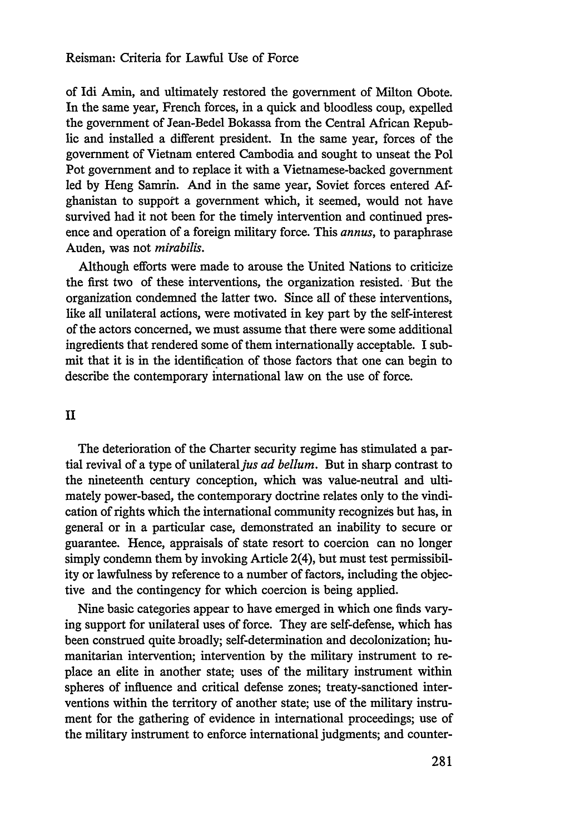### Reisman: Criteria for Lawful Use of Force

of Idi Amin, and ultimately restored the government of Milton Obote. In the same year, French forces, in a quick and bloodless coup, expelled the government of Jean-Bedel Bokassa from the Central African Republic and installed a different president. In the same year, forces of the government of Vietnam entered Cambodia and sought to unseat the Pol Pot government and to replace it with a Vietnamese-backed government led by Heng Samrin. And in the same year, Soviet forces entered Afghanistan to support a government which, it seemed, would not have survived had it not been for the timely intervention and continued presence and operation of a foreign military force. This *annus,* to paraphrase Auden, was not *mirabilis.*

Although efforts were made to arouse the United Nations to criticize the first two of these interventions, the organization resisted. 'But the organization condemned the latter two. Since all of these interventions, like all unilateral actions, were motivated in key part by the self-interest of the actors concerned, we must assume that there were some additional ingredients that rendered some of them internationally acceptable. I submit that it is in the identification of those factors that one can begin to describe the contemporary international law on the use of force.

# II

The deterioration of the Charter security regime has stimulated a partial revival of a type of unilateral *jus ad bellum*. But in sharp contrast to the nineteenth century conception, which was value-neutral and ultimately power-based, the contemporary doctrine relates only to the vindication of rights which the international community recognizes but has, in general or in a particular case, demonstrated an inability to secure or guarantee. Hence, appraisals of state resort to coercion can no longer simply condemn them by invoking Article 2(4), but must test permissibility or lawfulness by reference to a number of factors, including the objective and the contingency for which coercion is being applied.

Nine basic categories appear to have emerged in which one finds varying support for unilateral uses of force. They are self-defense, which has been construed quite broadly; self-determination and decolonization; humanitarian intervention; intervention by the military instrument to replace an elite in another state; uses of the military instrument within spheres of influence and critical defense zones; treaty-sanctioned interventions within the territory of another state; use of the military instrument for the gathering of evidence in international proceedings; use of the military instrument to enforce international judgments; and counter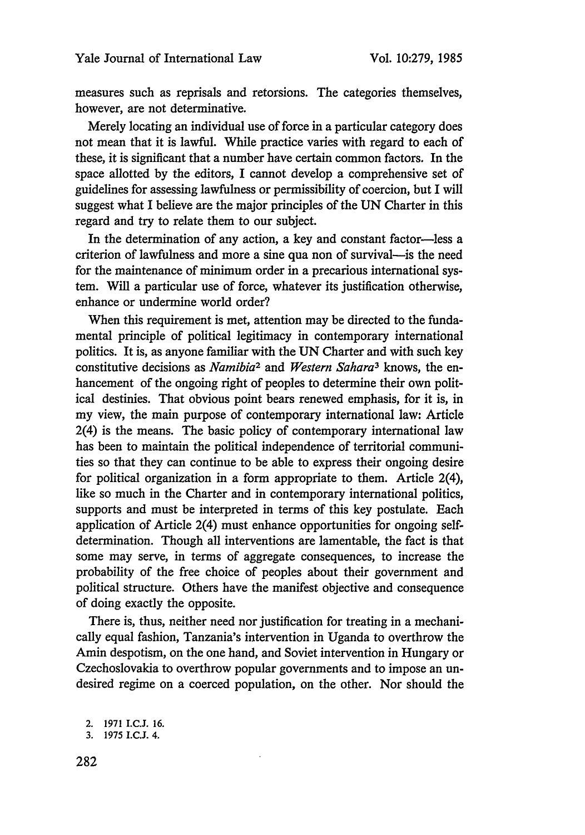measures such as reprisals and retorsions. The categories themselves, however, are not determinative.

Merely locating an individual use of force in a particular category does not mean that it is lawful. While practice varies with regard to each of these, it is significant that a number have certain common factors. In the space allotted by the editors, I cannot develop a comprehensive set of guidelines for assessing lawfulness or permissibility of coercion, but I will suggest what I believe are the major principles of the UN Charter in this regard and try to relate them to our subject.

In the determination of any action, a key and constant factor-less a criterion of lawfulness and more a sine qua non of survival-is the need for the maintenance of minimum order in a precarious international system. Will a particular use of force, whatever its justification otherwise, enhance or undermine world order?

When this requirement is met, attention may be directed to the fundamental principle of political legitimacy in contemporary international politics. It is, as anyone familiar with the UN Charter and with such key constitutive decisions as *Namibia2* and *Western Sahara3* knows, the enhancement of the ongoing right of peoples to determine their own political destinies. That obvious point bears renewed emphasis, for it is, in my view, the main purpose of contemporary international law: Article 2(4) is the means. The basic policy of contemporary international law has been to maintain the political independence of territorial communities so that they can continue to be able to express their ongoing desire for political organization in a form appropriate to them. Article 2(4), like so much in the Charter and in contemporary international politics, supports and must be interpreted in terms of this key postulate. Each application of Article 2(4) must enhance opportunities for ongoing selfdetermination. Though all interventions are lamentable, the fact is that some may serve, in terms of aggregate consequences, to increase the probability of the free choice of peoples about their government and political structure. Others have the manifest objective and consequence of doing exactly the opposite.

There is, thus, neither need nor justification for treating in a mechanically equal fashion, Tanzania's intervention in Uganda to overthrow the Amin despotism, on the one hand, and Soviet intervention in Hungary or Czechoslovakia to overthrow popular governments and to impose an undesired regime on a coerced population, on the other. Nor should the

<sup>2.</sup> **1971 I.C.J. 16.**

**<sup>3. 1975</sup> I.C.J.** 4.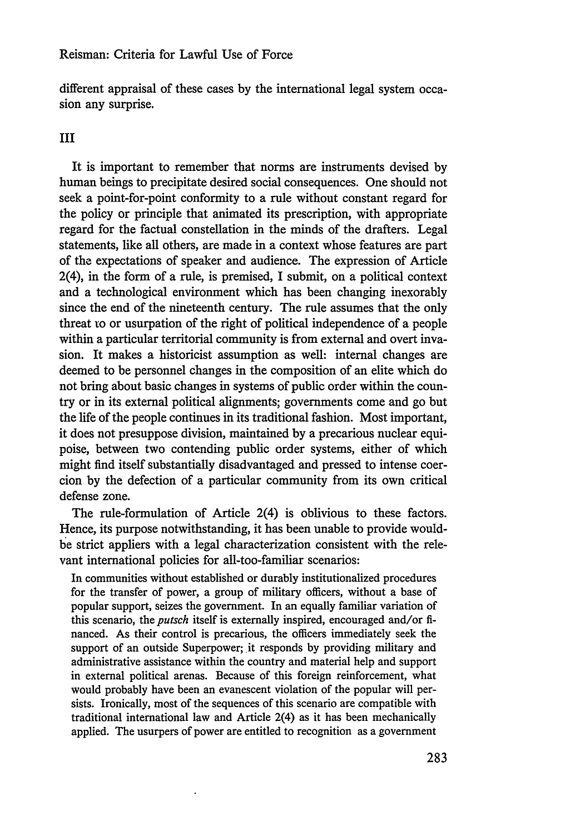different appraisal of these cases by the international legal system occasion any surprise.

## III

It is important to remember that norms are instruments devised by human beings to precipitate desired social consequences. One should not seek a point-for-point conformity to a rule without constant regard for the policy or principle that animated its prescription, with appropriate regard for the factual constellation in the minds of the drafters. Legal statements, like all others, are made in a context whose features are part of the expectations of speaker and audience. The expression of Article 2(4), in the form of a rule, is premised, I submit, on a political context and a technological environment which has been changing inexorably since the end of the nineteenth century. The rule assumes that the only threat to or usurpation of the right of political independence of a people within a particular territorial community is from external and overt invasion. It makes a historicist assumption as well: internal changes are deemed to be personnel changes in the composition of an elite which do not bring about basic changes in systems of public order within the country or in its external political alignments; governments come and go but the life of the people continues in its traditional fashion. Most important, it does not presuppose division, maintained by a precarious nuclear equipoise, between two contending public order systems, either of which might find itself substantially disadvantaged and pressed to intense coercion by the defection of a particular community from its own critical defense zone.

The rule-formulation of Article 2(4) is oblivious to these factors. Hence, its purpose notwithstanding, it has been unable to provide wouldbe strict appliers with a legal characterization consistent with the relevant international policies for all-too-familiar scenarios:

In communities without established or durably institutionalized procedures for the transfer of power, a group of military officers, without a base of popular support, seizes the government. In an equally familiar variation of this scenario, the *putsch* itself is externally inspired, encouraged and/or financed. As their control is precarious, the officers immediately seek the support of an outside Superpower; it responds by providing military and administrative assistance within the country and material help and support in external political arenas. Because of this foreign reinforcement, what would probably have been an evanescent violation of the popular will persists. Ironically, most of the sequences of this scenario are compatible with traditional international law and Article 2(4) as it has been mechanically applied. The usurpers of power are entitled to recognition as a government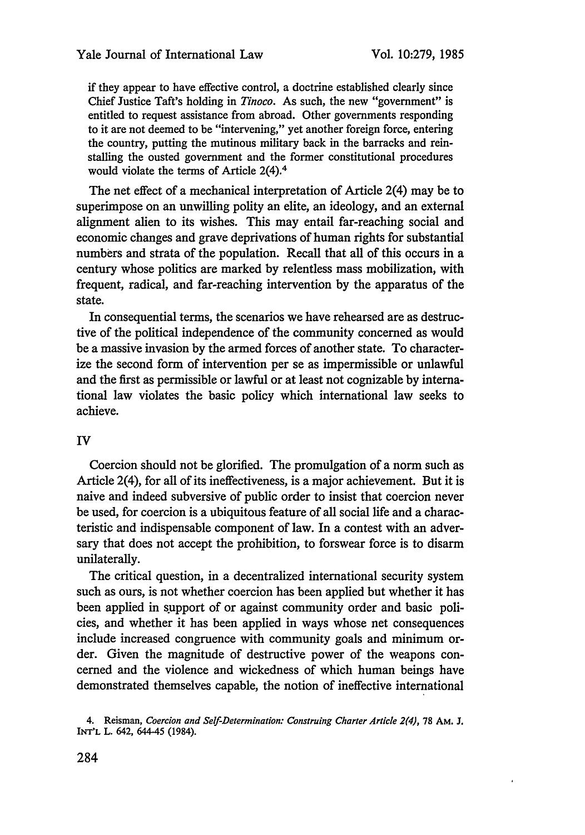if they appear to have effective control, a doctrine established clearly since Chief Justice Taft's holding in *Tinoco.* As such, the new "government" is entitled to request assistance from abroad. Other governments responding to it are not deemed to be "intervening," yet another foreign force, entering the country, putting the mutinous military back in the barracks and reinstalling the ousted government and the former constitutional procedures would violate the terms of Article 2(4).<sup>4</sup>

The net effect of a mechanical interpretation of Article 2(4) may be to superimpose on an unwilling polity an elite, an ideology, and an external alignment alien to its wishes. This may entail far-reaching social and economic changes and grave deprivations of human rights for substantial numbers and strata of the population. Recall that all of this occurs in a century whose politics are marked by relentless mass mobilization, with frequent, radical, and far-reaching intervention by the apparatus of the state.

In consequential terms, the scenarios we have rehearsed are as destructive of the political independence of the community concerned as would be a massive invasion by the armed forces of another state. To characterize the second form of intervention per se as impermissible or unlawful and the first as permissible or lawful or at least not cognizable by international law violates the basic policy which international law seeks to achieve.

## IV

Coercion should not be glorified. The promulgation of a norm such as Article 2(4), for all of its ineffectiveness, is a major achievement. But it is naive and indeed subversive of public order to insist that coercion never be used, for coercion is a ubiquitous feature of all social life and a characteristic and indispensable component of law. In a contest with an adversary that does not accept the prohibition, to forswear force is to disarm unilaterally.

The critical question, in a decentralized international security system such as ours, is not whether coercion has been applied but whether it has been applied in support of or against community order and basic policies, and whether it has been applied in ways whose net consequences include increased congruence with community goals and minimum order. Given the magnitude of destructive power of the weapons concerned and the violence and wickedness of which human beings have demonstrated themselves capable, the notion of ineffective international

<sup>4.</sup> Reisman, *Coercion and* Self-Determination: *Construing Charter Article 2(4),* 78 AM. **J.** INT'L L. 642, 644-45 (1984).